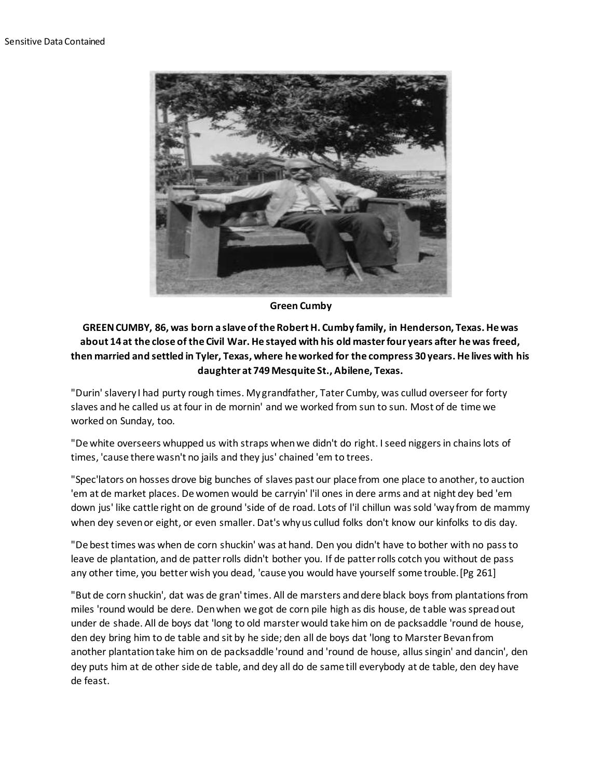

**Green Cumby**

**GREEN CUMBY, 86, was born a slave of the Robert H. Cumby family, in Henderson, Texas. He was about 14 at the close of the Civil War. He stayed with his old master four years after he was freed, then married and settled in Tyler, Texas, where he worked for the compress 30 years. He lives with his daughter at 749 Mesquite St., Abilene, Texas.**

"Durin' slavery I had purty rough times. My grandfather, Tater Cumby, was cullud overseer for forty slaves and he called us at four in de mornin' and we worked from sun to sun. Most of de time we worked on Sunday, too.

"De white overseers whupped us with straps when we didn't do right. I seed niggers in chains lots of times, 'cause there wasn't no jails and they jus' chained 'em to trees.

"Spec'lators on hosses drove big bunches of slaves past our place from one place to another, to auction 'em at de market places. De women would be carryin' l'il ones in dere arms and at night dey bed 'em down jus' like cattle right on de ground 'side of de road. Lots of l'il chillun was sold 'way from de mammy when dey seven or eight, or even smaller. Dat's why us cullud folks don't know our kinfolks to dis day.

"De best times was when de corn shuckin' was at hand. Den you didn't have to bother with no pass to leave de plantation, and de patter rolls didn't bother you. If de patter rolls cotch you without de pass any other time, you better wish you dead, 'cause you would have yourself some trouble.[Pg 261]

"But de corn shuckin', dat was de gran' times. All de marsters and dere black boys from plantations from miles 'round would be dere. Den when we got de corn pile high as dis house, de table was spread out under de shade. All de boys dat 'long to old marster would take him on de packsaddle 'round de house, den dey bring him to de table and sit by he side; den all de boys dat 'long to Marster Bevan from another plantation take him on de packsaddle 'round and 'round de house, allus singin' and dancin', den dey puts him at de other side de table, and dey all do de same till everybody at de table, den dey have de feast.